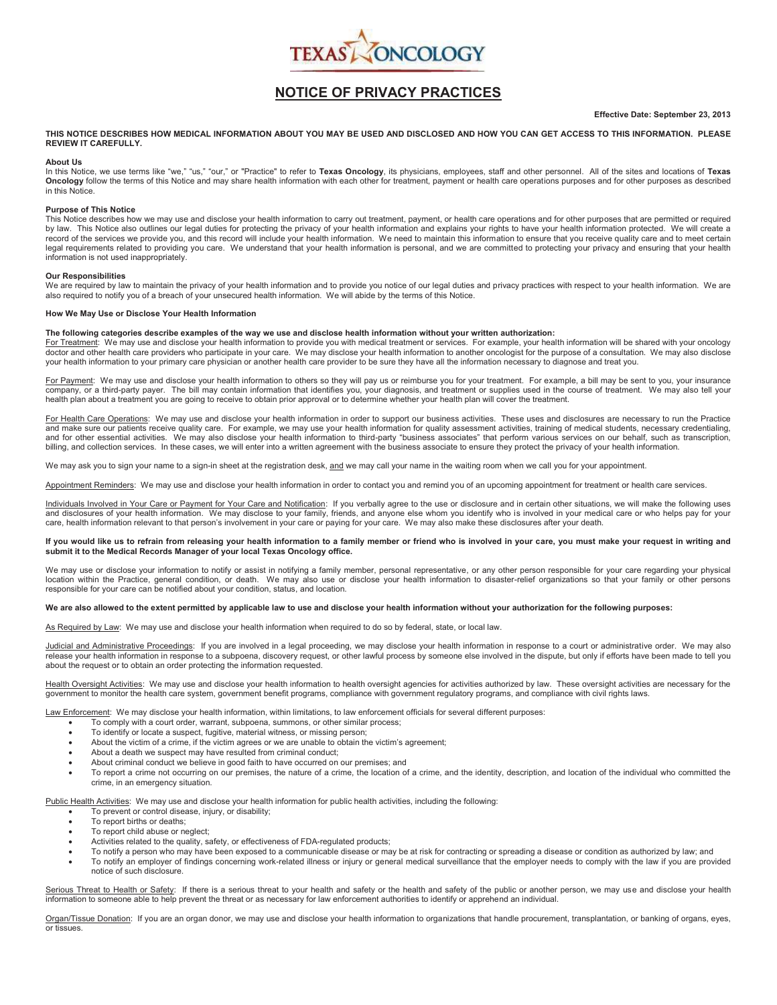

# **NOTICE OF PRIVACY PRACTICES**

### **Effective Date: September 23, 2013**

**THIS NOTICE DESCRIBES HOW MEDICAL INFORMATION ABOUT YOU MAY BE USED AND DISCLOSED AND HOW YOU CAN GET ACCESS TO THIS INFORMATION. PLEASE REVIEW IT CAREFULLY.** 

#### **About Us**

In this Notice, we use terms like "we," "us," "our," or "Practice" to refer to **Texas Oncology**, its physicians, employees, staff and other personnel. All of the sites and locations of **Texas**<br>**Oncology** follow the terms o in this Notice.

#### **Purpose of This Notice**

This Notice describes how we may use and disclose your health information to carry out treatment, payment, or health care operations and for other purposes that are permitted or required by law. This Notice also outlines our legal duties for protecting the privacy of your health information and explains your rights to have your health information protected. We will create a<br>record of the services we prov legal requirements related to providing you care. We understand that your health information is personal, and we are committed to protecting your privacy and ensuring that your health information is not used inappropriately.

#### **Our Responsibilities**

We are required by law to maintain the privacy of your health information and to provide you notice of our legal duties and privacy practices with respect to your health information. We are also required to notify you of a breach of your unsecured health information. We will abide by the terms of this Notice.

## **How We May Use or Disclose Your Health Information**

## **The following categories describe examples of the way we use and disclose health information without your written authorization:**

For Treatment: We may use and disclose your health information to provide you with medical treatment or services. For example, your health information will be shared with your oncology doctor and other health care providers who participate in your care. We may disclose your health information to another oncologist for the purpose of a consultation. We may also disclose your health information to your primary care physician or another health care provider to be sure they have all the information necessary to diagnose and treat you.

For Payment: We may use and disclose your health information to others so they will pay us or reimburse you for your treatment. For example, a bill may be sent to you, your insurance company, or a third-party payer. The bill may contain information that identifies you, your diagnosis, and treatment or supplies used in the course of treatment. We may also tell your health plan about a treatment you are going to receive to obtain prior approval or to determine whether your health plan will cover the treatment.

For Health Care Operations: We may use and disclose your health information in order to support our business activities. These uses and disclosures are necessary to run the Practice and make sure our patients receive quality care. For example, we may use your health information for quality assessment activities, training of medical students, necessary credentialing, and for other essential activities. We may also disclose your health information to third-party "business associates" that perform various services on our behalf, such as transcription, billing, and collection services. In these cases, we will enter into a written agreement with the business associate to ensure they protect the privacy of your health information.

We may ask you to sign your name to a sign-in sheet at the registration desk, and we may call your name in the waiting room when we call you for your appointment.

Appointment Reminders: We may use and disclose your health information in order to contact you and remind you of an upcoming appointment for treatment or health care services.

<u>Individuals Involved in Your Care or Payment for Your Care and Notification</u>: If you verbally agree to the use or disclosure and in certain other situations, we will make the following uses<br>and disclosures of your health care, health information relevant to that person's involvement in your care or paying for your care. We may also make these disclosures after your death.

## If you would like us to refrain from releasing your health information to a family member or friend who is involved in your care, you must make your request in writing and **submit it to the Medical Records Manager of your local Texas Oncology office.**

We may use or disclose your information to notify or assist in notifying a family member, personal representative, or any other person responsible for your care regarding your physical location within the Practice, general condition, or death. We may also use or disclose your health information to disaster-relief organizations so that your family or other persons responsible for your care can be notified about your condition, status, and location.

#### We are also allowed to the extent permitted by applicable law to use and disclose your health information without your authorization for the following purposes:

As Required by Law: We may use and disclose your health information when required to do so by federal, state, or local law.

Judicial and Administrative Proceedings: If you are involved in a legal proceeding, we may disclose your health information in response to a court or administrative order. We may also release your health information in response to a subpoena, discovery request, or other lawful process by someone else involved in the dispute, but only if efforts have been made to tell you about the request or to obtain an order protecting the information requested.

Health Oversight Activities: We may use and disclose your health information to health oversight agencies for activities authorized by law. These oversight activities are necessary for the government to monitor the health care system, government benefit programs, compliance with government regulatory programs, and compliance with civil rights laws.

Law Enforcement: We may disclose your health information, within limitations, to law enforcement officials for several different purposes:

- To comply with a court order, warrant, subpoena, summons, or other similar process;
- To identify or locate a suspect, fugitive, material witness, or missing person;
- About the victim of a crime, if the victim agrees or we are unable to obtain the victim's agreement;
- About a death we suspect may have resulted from criminal conduct;
- About criminal conduct we believe in good faith to have occurred on our premises; and
- To report a crime not occurring on our premises, the nature of a crime, the location of a crime, and the identity, description, and location of the individual who committed the crime, in an emergency situation.

Public Health Activities: We may use and disclose your health information for public health activities, including the following:

- · To prevent or control disease, injury, or disability;
- To report births or deaths;
- To report child abuse or neglect;
- Activities related to the quality, safety, or effectiveness of FDA-regulated products;
- · To notify a person who may have been exposed to a communicable disease or may be at risk for contracting or spreading a disease or condition as authorized by law; and
- To notify an employer of findings concerning work-related illness or injury or general medical surveillance that the employer needs to comply with the law if you are provided notice of such disclosure.

Serious Threat to Health or Safety: If there is a serious threat to your health and safety or the health and safety of the public or another person, we may use and disclose your health information to someone able to help prevent the threat or as necessary for law enforcement authorities to identify or apprehend an individual.

Organ/Tissue Donation: If you are an organ donor, we may use and disclose your health information to organizations that handle procurement, transplantation, or banking of organs, eyes, or tissues.